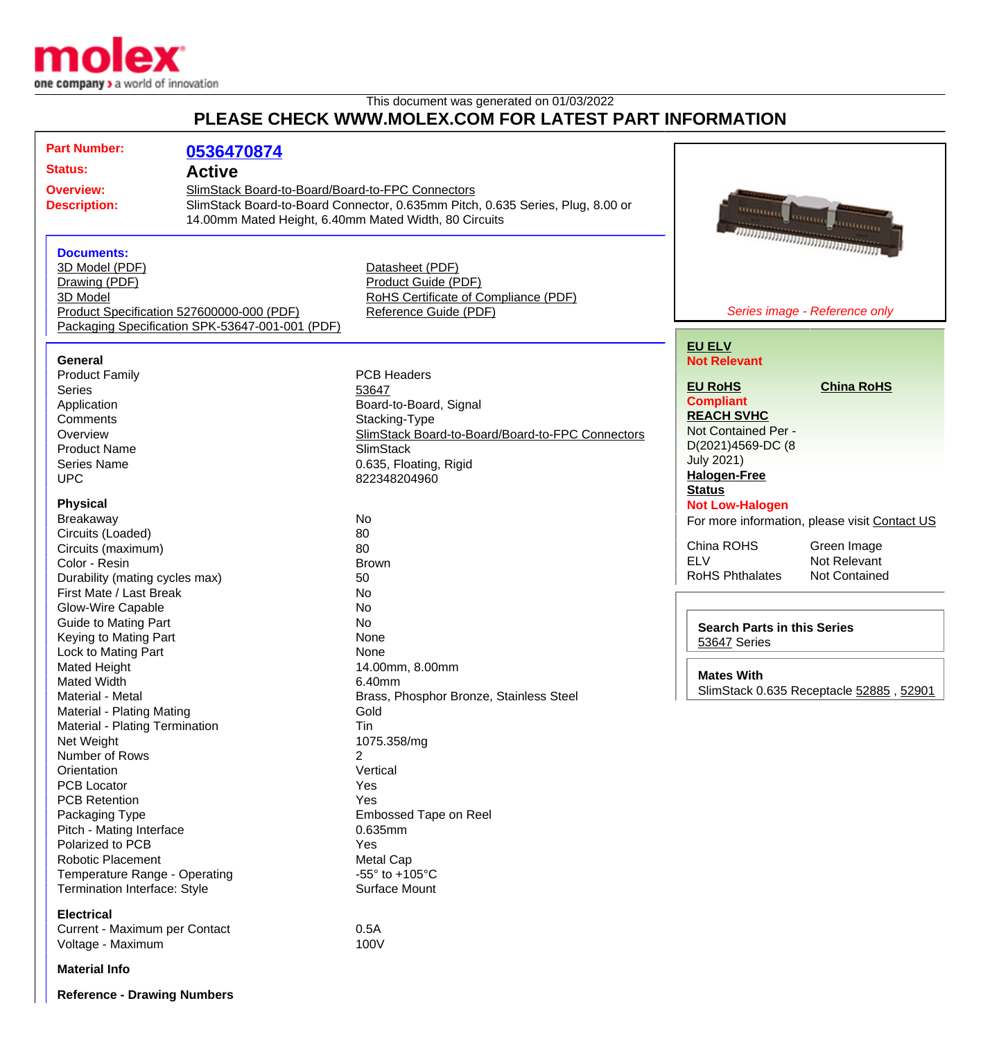

## This document was generated on 01/03/2022 **PLEASE CHECK WWW.MOLEX.COM FOR LATEST PART INFORMATION**

| <b>Part Number:</b>                       |                                                  |                                                                                |                                                    |                                               |
|-------------------------------------------|--------------------------------------------------|--------------------------------------------------------------------------------|----------------------------------------------------|-----------------------------------------------|
|                                           | 0536470874                                       |                                                                                |                                                    |                                               |
| <b>Status:</b>                            | <b>Active</b>                                    |                                                                                |                                                    |                                               |
| <b>Overview:</b>                          | SlimStack Board-to-Board/Board-to-FPC Connectors |                                                                                |                                                    |                                               |
| <b>Description:</b>                       |                                                  | SlimStack Board-to-Board Connector, 0.635mm Pitch, 0.635 Series, Plug, 8.00 or |                                                    |                                               |
|                                           |                                                  | 14.00mm Mated Height, 6.40mm Mated Width, 80 Circuits                          | managa anggu                                       |                                               |
|                                           |                                                  |                                                                                |                                                    | <b>COURTER</b>                                |
|                                           |                                                  |                                                                                |                                                    | ת התחתת התחתת התחתת התחתת                     |
| <b>Documents:</b>                         |                                                  |                                                                                |                                                    |                                               |
| 3D Model (PDF)                            |                                                  | Datasheet (PDF)                                                                |                                                    |                                               |
| Drawing (PDF)                             |                                                  | Product Guide (PDF)                                                            |                                                    |                                               |
| 3D Model                                  |                                                  | RoHS Certificate of Compliance (PDF)                                           |                                                    |                                               |
| Product Specification 527600000-000 (PDF) |                                                  | Reference Guide (PDF)                                                          | Series image - Reference only                      |                                               |
|                                           | Packaging Specification SPK-53647-001-001 (PDF)  |                                                                                |                                                    |                                               |
|                                           |                                                  |                                                                                | <b>EU ELV</b>                                      |                                               |
| <b>General</b>                            |                                                  |                                                                                | <b>Not Relevant</b>                                |                                               |
| <b>Product Family</b>                     |                                                  | <b>PCB Headers</b>                                                             |                                                    |                                               |
| <b>Series</b>                             |                                                  | 53647                                                                          | <b>EU RoHS</b>                                     | <b>China RoHS</b>                             |
| Application                               |                                                  | Board-to-Board, Signal                                                         | <b>Compliant</b>                                   |                                               |
| Comments                                  |                                                  | Stacking-Type                                                                  | <b>REACH SVHC</b>                                  |                                               |
| Overview                                  |                                                  | SlimStack Board-to-Board/Board-to-FPC Connectors                               | Not Contained Per -                                |                                               |
| <b>Product Name</b>                       |                                                  | <b>SlimStack</b>                                                               | D(2021)4569-DC (8                                  |                                               |
| <b>Series Name</b>                        |                                                  | 0.635, Floating, Rigid                                                         | <b>July 2021)</b>                                  |                                               |
| <b>UPC</b>                                |                                                  | 822348204960                                                                   | <b>Halogen-Free</b>                                |                                               |
|                                           |                                                  |                                                                                | <b>Status</b>                                      |                                               |
| <b>Physical</b>                           |                                                  |                                                                                | <b>Not Low-Halogen</b>                             |                                               |
| <b>Breakaway</b>                          |                                                  | No                                                                             |                                                    | For more information, please visit Contact US |
| Circuits (Loaded)                         |                                                  | 80                                                                             |                                                    |                                               |
| Circuits (maximum)                        |                                                  | 80                                                                             | China ROHS                                         | Green Image                                   |
| Color - Resin                             |                                                  | <b>Brown</b>                                                                   | <b>ELV</b>                                         | Not Relevant                                  |
| Durability (mating cycles max)            |                                                  | 50                                                                             | <b>RoHS Phthalates</b>                             | Not Contained                                 |
| First Mate / Last Break                   |                                                  | No                                                                             |                                                    |                                               |
| Glow-Wire Capable                         |                                                  | No                                                                             |                                                    |                                               |
| <b>Guide to Mating Part</b>               |                                                  | <b>No</b>                                                                      |                                                    |                                               |
| Keying to Mating Part                     |                                                  | None                                                                           | <b>Search Parts in this Series</b><br>53647 Series |                                               |
| Lock to Mating Part                       |                                                  | None                                                                           |                                                    |                                               |
| Mated Height                              |                                                  | 14.00mm, 8.00mm                                                                |                                                    |                                               |
| Mated Width                               |                                                  | 6.40mm                                                                         | <b>Mates With</b>                                  |                                               |
| Material - Metal                          |                                                  | Brass, Phosphor Bronze, Stainless Steel                                        |                                                    | SlimStack 0.635 Receptacle 52885, 52901       |
| Material - Plating Mating                 |                                                  | Gold                                                                           |                                                    |                                               |
| Material - Plating Termination            |                                                  | Tin                                                                            |                                                    |                                               |
| Net Weight                                |                                                  | 1075.358/mg                                                                    |                                                    |                                               |
| Number of Rows                            |                                                  | 2                                                                              |                                                    |                                               |
| Orientation                               |                                                  | Vertical                                                                       |                                                    |                                               |
| <b>PCB Locator</b>                        |                                                  | Yes                                                                            |                                                    |                                               |
| <b>PCB Retention</b>                      |                                                  | Yes                                                                            |                                                    |                                               |
| Packaging Type                            |                                                  | Embossed Tape on Reel                                                          |                                                    |                                               |
| Pitch - Mating Interface                  |                                                  | 0.635mm                                                                        |                                                    |                                               |
| Polarized to PCB                          |                                                  | Yes                                                                            |                                                    |                                               |
| <b>Robotic Placement</b>                  |                                                  | <b>Metal Cap</b>                                                               |                                                    |                                               |
| Temperature Range - Operating             |                                                  | -55 $\degree$ to +105 $\degree$ C                                              |                                                    |                                               |
| <b>Termination Interface: Style</b>       |                                                  | Surface Mount                                                                  |                                                    |                                               |
|                                           |                                                  |                                                                                |                                                    |                                               |
| <b>Electrical</b>                         |                                                  |                                                                                |                                                    |                                               |
| Current - Maximum per Contact             |                                                  | 0.5A                                                                           |                                                    |                                               |
| Voltage - Maximum                         |                                                  | 100V                                                                           |                                                    |                                               |
|                                           |                                                  |                                                                                |                                                    |                                               |
| <b>Material Info</b>                      |                                                  |                                                                                |                                                    |                                               |

**Reference - Drawing Numbers**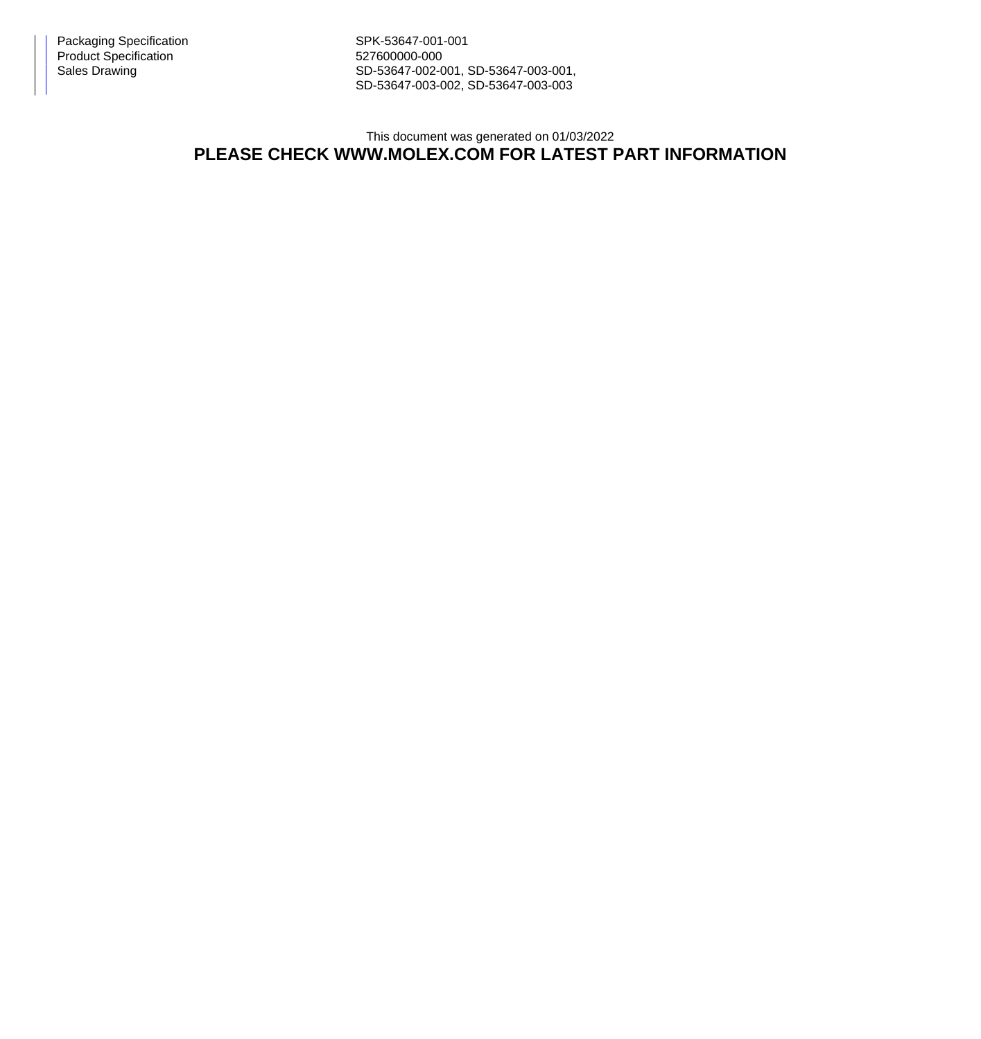Packaging Specification Network SPK-53647-001-001 Product Specification 627600000-000

Sales Drawing Sales Drawing SD-53647-002-001, SD-53647-003-001, SD-53647-003-002, SD-53647-003-003

## This document was generated on 01/03/2022 **PLEASE CHECK WWW.MOLEX.COM FOR LATEST PART INFORMATION**